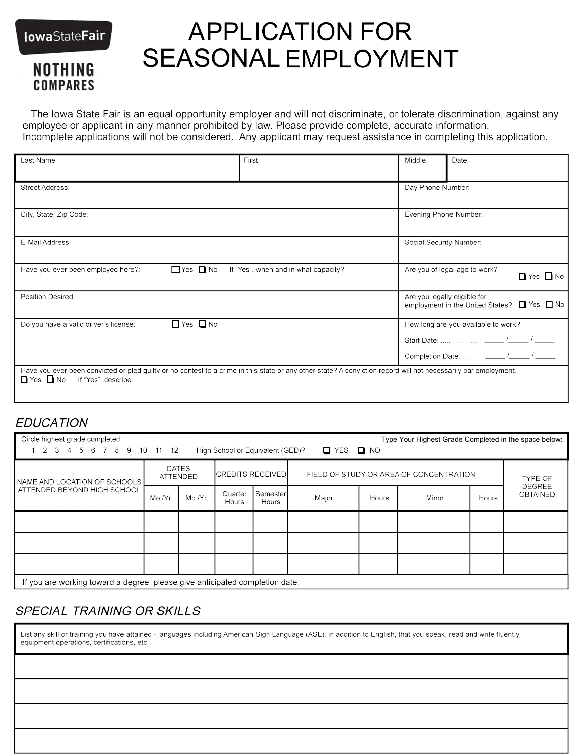

**NOTHING COMPARES** 

# **APPLICATION FOR SEASONAL EMPLOYMENT**

The lowa State Fair is an equal opportunity employer and will not discriminate, or tolerate discrimination, against any employee or applicant in any manner prohibited by law. Please provide complete, accurate information. Incomplete applications will not be considered. Any applicant may request assistance in completing this application.

| Last Name:                                  |                      | First:                                                                                                                                                          | Middle:                      | Date:                                       |  |  |
|---------------------------------------------|----------------------|-----------------------------------------------------------------------------------------------------------------------------------------------------------------|------------------------------|---------------------------------------------|--|--|
|                                             |                      |                                                                                                                                                                 |                              |                                             |  |  |
| Street Address:                             |                      |                                                                                                                                                                 | Day Phone Number:            |                                             |  |  |
|                                             |                      |                                                                                                                                                                 |                              |                                             |  |  |
| City, State, Zip Code:                      |                      |                                                                                                                                                                 | Evening Phone Number:        |                                             |  |  |
|                                             |                      |                                                                                                                                                                 |                              |                                             |  |  |
| E-Mail Address:                             |                      |                                                                                                                                                                 |                              | Social Security Number:                     |  |  |
|                                             |                      |                                                                                                                                                                 |                              |                                             |  |  |
| Have you ever been employed here?:          | $\Box$ Yes $\Box$ No | If "Yes", when and in what capacity?                                                                                                                            |                              | Are you of legal age to work?<br>□ Yes □ No |  |  |
|                                             |                      |                                                                                                                                                                 |                              |                                             |  |  |
| Position Desired:                           |                      |                                                                                                                                                                 | Are you legally eligible for | employment in the United States? ■ Yes ■ No |  |  |
| Do you have a valid driver's license:       | $\Box$ Yes $\Box$ No |                                                                                                                                                                 |                              | How long are you available to work?         |  |  |
|                                             |                      |                                                                                                                                                                 |                              |                                             |  |  |
|                                             |                      |                                                                                                                                                                 |                              |                                             |  |  |
|                                             |                      |                                                                                                                                                                 |                              | Completion Date:  _____/____/_____/         |  |  |
| $\Box$ Yes $\Box$ No<br>If "Yes", describe. |                      | Have you ever been convicted or pled guilty or no contest to a crime in this state or any other state? A conviction record will not necessarily bar employment. |                              |                                             |  |  |
|                                             |                      |                                                                                                                                                                 |                              |                                             |  |  |
|                                             |                      |                                                                                                                                                                 |                              |                                             |  |  |

## **EDUCATION**

| Circle highest grade completed:<br>Type Your Highest Grade Completed in the space below: |                          |         |                         |                          |                                         |       |       |         |                                  |
|------------------------------------------------------------------------------------------|--------------------------|---------|-------------------------|--------------------------|-----------------------------------------|-------|-------|---------|----------------------------------|
| 1 2 3 4 5 6 7 8 9 10 11 12<br>$\Box$ YES $\Box$ NO<br>High School or Equivalent (GED)?   |                          |         |                         |                          |                                         |       |       |         |                                  |
| NAME AND LOCATION OF SCHOOLS<br>ATTENDED BEYOND HIGH SCHOOL                              | <b>DATES</b><br>ATTENDED |         | <b>CREDITS RECEIVED</b> |                          | FIELD OF STUDY OR AREA OF CONCENTRATION |       |       | TYPE OF |                                  |
|                                                                                          | Mo./Yr.                  | Mo./Yr. | Quarter<br>Hours        | Semester<br><b>Hours</b> | Major                                   | Hours | Minor | Hours   | <b>DEGREE</b><br><b>OBTAINED</b> |
|                                                                                          |                          |         |                         |                          |                                         |       |       |         |                                  |
|                                                                                          |                          |         |                         |                          |                                         |       |       |         |                                  |
|                                                                                          |                          |         |                         |                          |                                         |       |       |         |                                  |
| If you are working toward a degree, please give anticipated completion date.             |                          |         |                         |                          |                                         |       |       |         |                                  |

#### **SPECIAL TRAINING OR SKILLS**

| List any skill or training you have attained - languages including American Sign Language (ASL), in addition to English, that you speak, read and write fluently,<br>equipment operations, certifications, etc. |  |  |  |  |  |
|-----------------------------------------------------------------------------------------------------------------------------------------------------------------------------------------------------------------|--|--|--|--|--|
|                                                                                                                                                                                                                 |  |  |  |  |  |
|                                                                                                                                                                                                                 |  |  |  |  |  |
|                                                                                                                                                                                                                 |  |  |  |  |  |